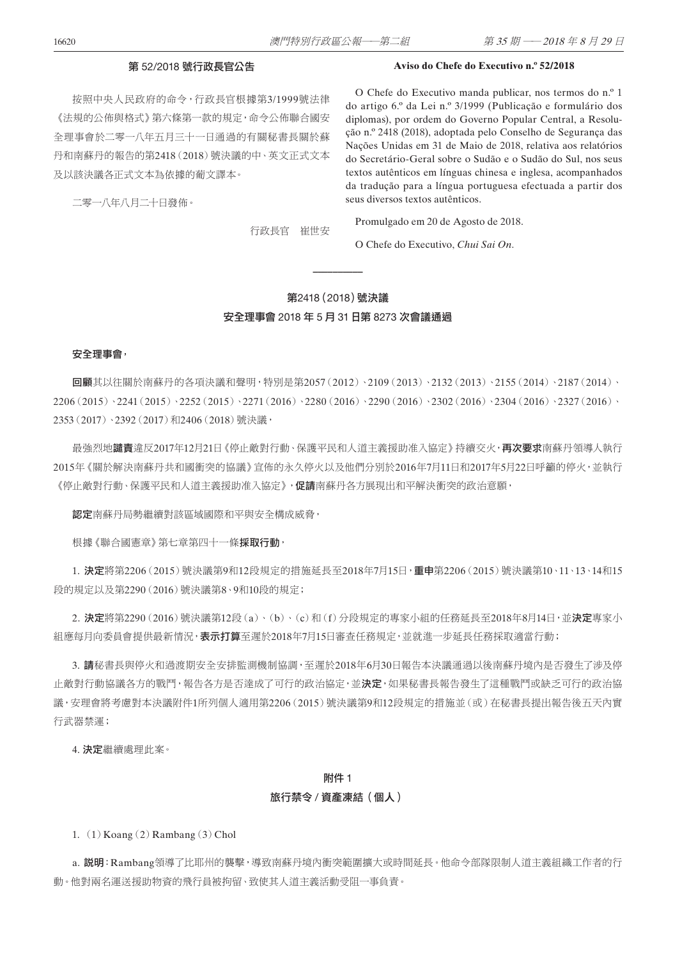#### 第 52/2018 號行政長官公告

## **Aviso do Chefe do Executivo n.º 52/2018**

按照中央人民政府的命令,行政長官根據第3/1999號法律 《法規的公佈與格式》第六條第一款的規定,命令公佈聯合國安 全理事會於二零一八年五月三十一日通過的有關秘書長關於蘇 丹和南蘇丹的報告的第2418(2018)號決議的中、英文正式文本 及以該決議各正式文本為依據的葡文譯本。

二零一八年八月二十日發佈。

行政長官 崔世安

O Chefe do Executivo manda publicar, nos termos do n.º 1 do artigo 6.º da Lei n.º 3/1999 (Publicação e formulário dos diplomas), por ordem do Governo Popular Central, a Resolução n.º 2418 (2018), adoptada pelo Conselho de Segurança das Nações Unidas em 31 de Maio de 2018, relativa aos relatórios do Secretário-Geral sobre o Sudão e o Sudão do Sul, nos seus textos autênticos em línguas chinesa e inglesa, acompanhados da tradução para a língua portuguesa efectuada a partir dos seus diversos textos autênticos.

Promulgado em 20 de Agosto de 2018.

O Chefe do Executivo, *Chui Sai On.*

# 第2418(2018)號決議 安全理事會 2018 年 5 月 31日第 8273 次會議通過

**––––––––––**

#### 安全理事會,

回顧其以往關於南蘇丹的各項決議和聲明,特別是第2057(2012)、2109(2013)、2132(2013)、2155(2014)、2187(2014)、 2206(2015)、2241(2015)、2252(2015)、2271(2016)、2280(2016)、2290(2016)、2302(2016)、2304(2016)、2327(2016)、 2353(2017)、2392(2017)和2406(2018)號決議,

最強烈地譴責違反2017年12月21日《停止敵對行動、保護平民和人道主義援助准入協定》持續交火,**再次要求**南蘇丹領導人執行 2015年《關於解決南蘇丹共和國衝突的協議》宣佈的永久停火以及他們分別於2016年7月11日和2017年5月22日呼籲的停火,並執行 《停止敵對行動、保護平民和人道主義援助准入協定》,促請南蘇丹各方展現出和平解決衝突的政治意願,

認定南蘇丹局勢繼續對該區域國際和平與安全構成威脅,

根據《聯合國憲章》第七章第四十一條**採取行動**,

1. **決定**將第2206(2015)號決議第9和12段規定的措施延長至2018年7月15日,**重申**第2206(2015)號決議第10、11、13、14和15 段的規定以及第2290(2016)號決議第8、9和10段的規定;

2. 決定將第2290(2016)號決議第12段(a)、(b)、(c)和(f)分段規定的專家小組的任務延長至2018年8月14日,並決定專家小 組應每月向委員會提供最新情況,**表示打算**至遲於2018年7月15日審查任務規定,並就進一步延長任務採取適當行動;

3. 請秘書長與停火和過渡期安全安排監測機制協調,至遲於2018年6月30日報告本決議通過以後南蘇丹境內是否發生了涉及停 止敵對行動協議各方的戰鬥,報告各方是否達成了可行的政治協定,並**決定**,如果秘書長報告發生了這種戰鬥或缺乏可行的政治協 議,安理會將考慮對本決議附件1所列個人適用第2206(2015)號決議第9和12段規定的措施並(或)在秘書長提出報告後五天內實 行武器禁運;

4. 決定繼續處理此案。

# 附件 1 旅行禁令 / 資產凍結(個人)

1. (1) Koang (2) Rambang (3) Chol

a. 說明: Rambang領導了比耶州的襲擊,導致南蘇丹境內衝突範圍擴大或時間延長。他命令部隊限制人道主義組織工作者的行 動。他對兩名運送援助物資的飛行員被拘留、致使其人道主義活動受阻一事負責。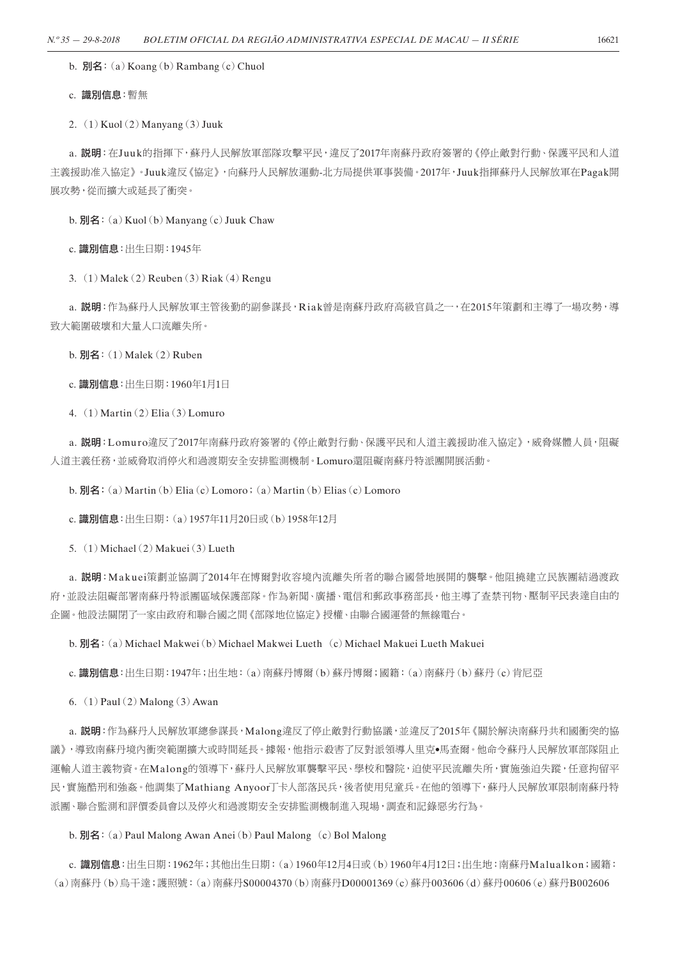b. 別名: (a) Koang (b) Rambang (c) Chuol

c. 識別信息:暫無

2.  $(1)$  Kuol $(2)$  Manyang $(3)$  Juuk

a. 說明:在Juuk的指揮下,蘇丹人民解放軍部隊攻擊平民,違反了2017年南蘇丹政府簽署的《停止敵對行動、保護平民和人道 主義援助准入協定》。Juuk違反《協定》,向蘇丹人民解放運動-北方局提供軍事裝備。2017年,Juuk指揮蘇丹人民解放軍在Pagak開 展攻勢,從而擴大或延長了衝突。

b.  $\overline{a}$  = (a) Kuol(b) Manyang(c) Juuk Chaw

c. 識別信息:出生日期:1945年

3. (1)Malek(2)Reuben(3)Riak(4)Rengu

a. 説明:作為蘇丹人民解放軍主管後勤的副參謀長,Riak曾是南蘇丹政府高級官員之一,在2015年策劃和主導了一場攻勢,導 致大範圍破壞和大量人口流離失所。

b. 別名: $(1)$ Malek $(2)$ Ruben

c. 識別信息:出生日期:1960年1月1日

4.  $(1)$  Martin $(2)$  Elia $(3)$  Lomuro

a. 說明:Lomuro違反了2017年南蘇丹政府簽署的《停止敵對行動、保護平民和人道主義援助准入協定》,威脅媒體人員,阻礙 人道主義任務,並威脅取消停火和過渡期安全安排監測機制。Lomuro還阻礙南蘇丹特派團開展活動。

b. **別名**: (a) Martin(b) Elia(c) Lomoro; (a) Martin(b) Elias(c) Lomoro

c. 識別信息:出生日期:(a)1957年11月20日或(b)1958年12月

5. (1)Michael(2)Makuei(3)Lueth

a. 說明:Makuei策劃並協調了2014年在博爾對收容境內流離失所者的聯合國營地展開的襲擊。他阻撓建立民族團結過渡政 府,並設法阻礙部署南蘇丹特派團區域保護部隊。作為新聞、廣播、電信和郵政事務部長,他主導了查禁刊物、壓制平民表達自由的 企圖。他設法關閉了一家由政府和聯合國之間《部隊地位協定》授權、由聯合國運營的無線電台。

b. 別名: (a) Michael Makwei (b) Michael Makwei Lueth (c) Michael Makuei Lueth Makuei

c. 識別信息:出生日期:1947年;出生地:(a)南蘇丹博爾(b)蘇丹博爾;國籍:(a)南蘇丹(b)蘇丹(c)肯尼亞

6.  $(1)$  Paul $(2)$  Malong $(3)$  Awan

a. 説明:作為蘇丹人民解放軍總參謀長,Malong違反了停止敵對行動協議,並違反了2015年《關於解決南蘇丹共和國衝突的協 議》,導致南蘇丹境內衝突範圍擴大或時間延長。據報,他指示殺害了反對派領導人里克•馬查爾。他命令蘇丹人民解放軍部隊阻止 運輸人道主義物資。在Malong的領導下,蘇丹人民解放軍襲擊平民、學校和醫院,迫使平民流離失所,實施強迫失蹤,任意拘留平 民,實施酷刑和強姦。他調集了Mathiang Anyoor丁卡人部落民兵,後者使用兒童兵。在他的領導下,蘇丹人民解放軍限制南蘇丹特 派團、聯合監測和評價委員會以及停火和過渡期安全安排監測機制進入現場,調查和記錄惡劣行為。

b. **別名**: (a) Paul Malong Awan Anei (b) Paul Malong (c) Bol Malong

c. 識別信息:出生日期:1962年;其他出生日期:(a)1960年12月4日或(b)1960年4月12日;出生地:南蘇丹Malualkon;國籍: (a)南蘇丹(b)烏干達;護照號:(a)南蘇丹S00004370(b)南蘇丹D00001369(c)蘇丹003606(d)蘇丹00606(e)蘇丹B002606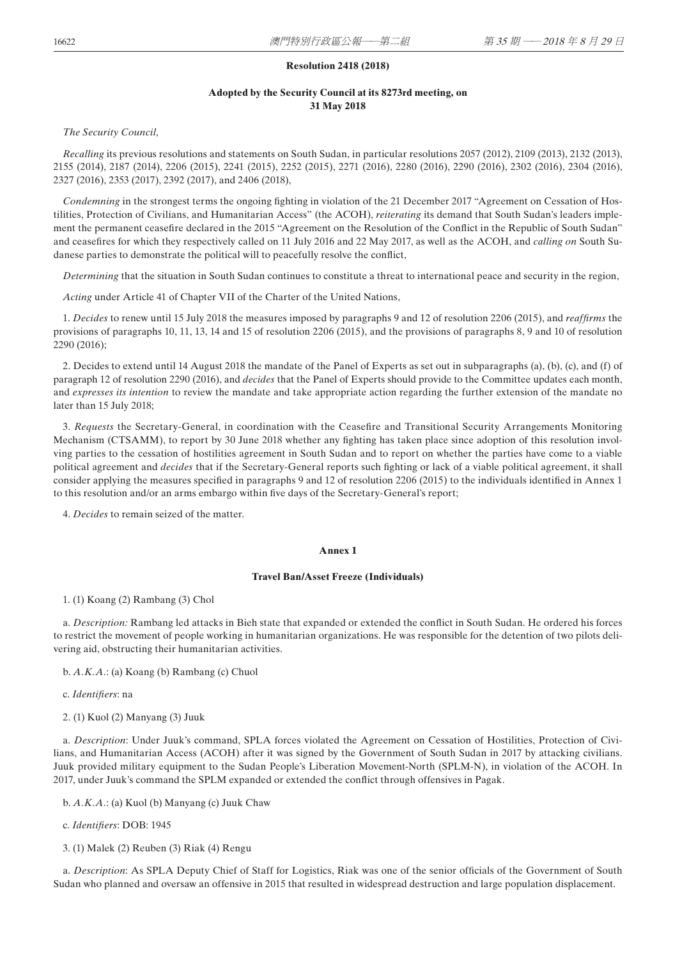#### **Resolution 2418 (2018)**

## **Adopted by the Security Council at its 8273rd meeting, on 31 May 2018**

#### *The Security Council,*

*Recalling* its previous resolutions and statements on South Sudan, in particular resolutions 2057 (2012), 2109 (2013), 2132 (2013), 2155 (2014), 2187 (2014), 2206 (2015), 2241 (2015), 2252 (2015), 2271 (2016), 2280 (2016), 2290 (2016), 2302 (2016), 2304 (2016), 2327 (2016), 2353 (2017), 2392 (2017), and 2406 (2018),

*Condemning* in the strongest terms the ongoing fighting in violation of the 21 December 2017 "Agreement on Cessation of Hostilities, Protection of Civilians, and Humanitarian Access" (the ACOH), *reiterating* its demand that South Sudan's leaders implement the permanent ceasefire declared in the 2015 "Agreement on the Resolution of the Conflict in the Republic of South Sudan" and ceasefires for which they respectively called on 11 July 2016 and 22 May 2017, as well as the ACOH, and *calling on* South Sudanese parties to demonstrate the political will to peacefully resolve the conflict,

*Determining* that the situation in South Sudan continues to constitute a threat to international peace and security in the region,

*Acting* under Article 41 of Chapter VII of the Charter of the United Nations,

1. *Decides* to renew until 15 July 2018 the measures imposed by paragraphs 9 and 12 of resolution 2206 (2015), and *reaffirms* the provisions of paragraphs 10, 11, 13, 14 and 15 of resolution 2206 (2015), and the provisions of paragraphs 8, 9 and 10 of resolution 2290 (2016);

2. Decides to extend until 14 August 2018 the mandate of the Panel of Experts as set out in subparagraphs (a), (b), (c), and (f) of paragraph 12 of resolution 2290 (2016), and *decides* that the Panel of Experts should provide to the Committee updates each month, and *expresses its intention* to review the mandate and take appropriate action regarding the further extension of the mandate no later than 15 July 2018;

3. *Requests* the Secretary-General, in coordination with the Ceasefire and Transitional Security Arrangements Monitoring Mechanism (CTSAMM), to report by 30 June 2018 whether any fighting has taken place since adoption of this resolution involving parties to the cessation of hostilities agreement in South Sudan and to report on whether the parties have come to a viable political agreement and *decides* that if the Secretary-General reports such fighting or lack of a viable political agreement, it shall consider applying the measures specified in paragraphs 9 and 12 of resolution 2206 (2015) to the individuals identified in Annex 1 to this resolution and/or an arms embargo within five days of the Secretary-General's report;

4. *Decides* to remain seized of the matter.

#### **Annex 1**

#### **Travel Ban/Asset Freeze (Individuals)**

#### 1. (1) Koang (2) Rambang (3) Chol

a. *Description:* Rambang led attacks in Bieh state that expanded or extended the conflict in South Sudan. He ordered his forces to restrict the movement of people working in humanitarian organizations. He was responsible for the detention of two pilots delivering aid, obstructing their humanitarian activities.

b. *A.K.A.*: (a) Koang (b) Rambang (c) Chuol

c. *Identifiers*: na

2. (1) Kuol (2) Manyang (3) Juuk

a. *Description*: Under Juuk's command, SPLA forces violated the Agreement on Cessation of Hostilities, Protection of Civilians, and Humanitarian Access (ACOH) after it was signed by the Government of South Sudan in 2017 by attacking civilians. Juuk provided military equipment to the Sudan People's Liberation Movement-North (SPLM-N), in violation of the ACOH. In 2017, under Juuk's command the SPLM expanded or extended the conflict through offensives in Pagak.

b. *A.K.A.*: (a) Kuol (b) Manyang (c) Juuk Chaw

c. *Identifiers*: DOB: 1945

3. (1) Malek (2) Reuben (3) Riak (4) Rengu

a. *Description*: As SPLA Deputy Chief of Staff for Logistics, Riak was one of the senior officials of the Government of South Sudan who planned and oversaw an offensive in 2015 that resulted in widespread destruction and large population displacement.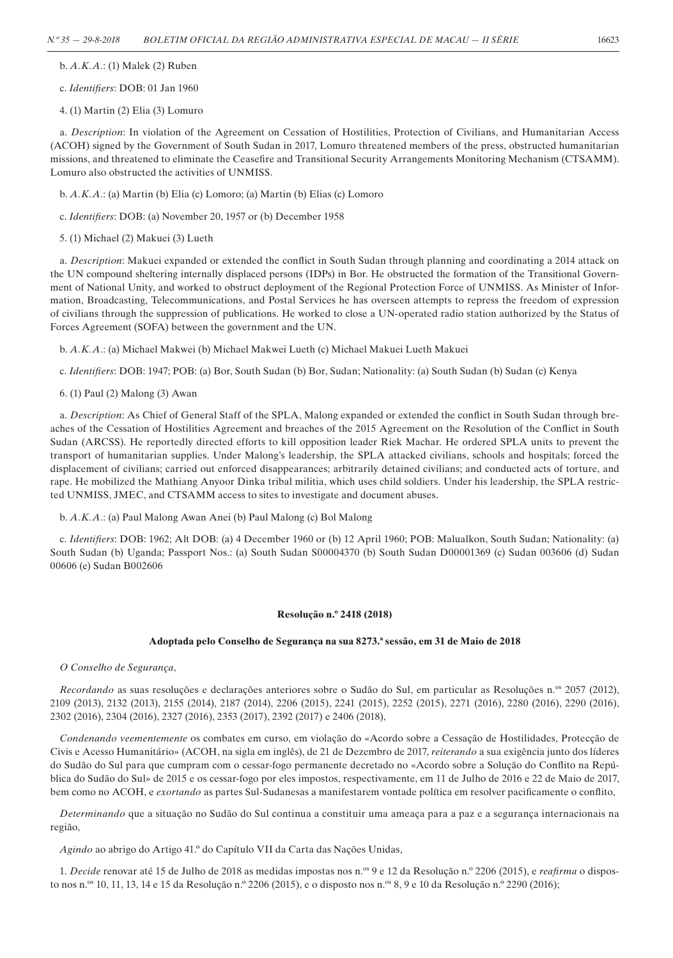b. *A.K.A.*: (1) Malek (2) Ruben

c. *Identifiers*: DOB: 01 Jan 1960

4. (1) Martin (2) Elia (3) Lomuro

a. *Description*: In violation of the Agreement on Cessation of Hostilities, Protection of Civilians, and Humanitarian Access (ACOH) signed by the Government of South Sudan in 2017, Lomuro threatened members of the press, obstructed humanitarian missions, and threatened to eliminate the Ceasefire and Transitional Security Arrangements Monitoring Mechanism (CTSAMM). Lomuro also obstructed the activities of UNMISS.

- b. *A.K.A.*: (a) Martin (b) Elia (c) Lomoro; (a) Martin (b) Elias (c) Lomoro
- c. *Identifiers*: DOB: (a) November 20, 1957 or (b) December 1958
- 5. (1) Michael (2) Makuei (3) Lueth

a. *Description*: Makuei expanded or extended the conflict in South Sudan through planning and coordinating a 2014 attack on the UN compound sheltering internally displaced persons (IDPs) in Bor. He obstructed the formation of the Transitional Government of National Unity, and worked to obstruct deployment of the Regional Protection Force of UNMISS. As Minister of Information, Broadcasting, Telecommunications, and Postal Services he has overseen attempts to repress the freedom of expression of civilians through the suppression of publications. He worked to close a UN-operated radio station authorized by the Status of Forces Agreement (SOFA) between the government and the UN.

b. *A.K.A.*: (a) Michael Makwei (b) Michael Makwei Lueth (c) Michael Makuei Lueth Makuei

c. *Identifiers*: DOB: 1947; POB: (a) Bor, South Sudan (b) Bor, Sudan; Nationality: (a) South Sudan (b) Sudan (c) Kenya

6. (1) Paul (2) Malong (3) Awan

a. *Description*: As Chief of General Staff of the SPLA, Malong expanded or extended the conflict in South Sudan through breaches of the Cessation of Hostilities Agreement and breaches of the 2015 Agreement on the Resolution of the Conflict in South Sudan (ARCSS). He reportedly directed efforts to kill opposition leader Riek Machar. He ordered SPLA units to prevent the transport of humanitarian supplies. Under Malong's leadership, the SPLA attacked civilians, schools and hospitals; forced the displacement of civilians; carried out enforced disappearances; arbitrarily detained civilians; and conducted acts of torture, and rape. He mobilized the Mathiang Anyoor Dinka tribal militia, which uses child soldiers. Under his leadership, the SPLA restricted UNMISS, JMEC, and CTSAMM access to sites to investigate and document abuses.

b. *A.K.A.*: (a) Paul Malong Awan Anei (b) Paul Malong (c) Bol Malong

c. *Identifiers*: DOB: 1962; Alt DOB: (a) 4 December 1960 or (b) 12 April 1960; POB: Malualkon, South Sudan; Nationality: (a) South Sudan (b) Uganda; Passport Nos.: (a) South Sudan S00004370 (b) South Sudan D00001369 (c) Sudan 003606 (d) Sudan 00606 (e) Sudan B002606

#### **Resolução n.º 2418 (2018)**

#### **Adoptada pelo Conselho de Segurança na sua 8273.ª sessão, em 31 de Maio de 2018**

*O Conselho de Segurança*,

*Recordando* as suas resoluções e declarações anteriores sobre o Sudão do Sul, em particular as Resoluções n.<sup>os</sup> 2057 (2012), 2109 (2013), 2132 (2013), 2155 (2014), 2187 (2014), 2206 (2015), 2241 (2015), 2252 (2015), 2271 (2016), 2280 (2016), 2290 (2016), 2302 (2016), 2304 (2016), 2327 (2016), 2353 (2017), 2392 (2017) e 2406 (2018),

*Condenando veementemente* os combates em curso, em violação do «Acordo sobre a Cessação de Hostilidades, Protecção de Civis e Acesso Humanitário» (ACOH, na sigla em inglês), de 21 de Dezembro de 2017, *reiterando* a sua exigência junto dos líderes do Sudão do Sul para que cumpram com o cessar-fogo permanente decretado no «Acordo sobre a Solução do Conflito na República do Sudão do Sul» de 2015 e os cessar-fogo por eles impostos, respectivamente, em 11 de Julho de 2016 e 22 de Maio de 2017, bem como no ACOH, e *exortando* as partes Sul-Sudanesas a manifestarem vontade política em resolver pacificamente o conflito,

*Determinando* que a situação no Sudão do Sul continua a constituir uma ameaça para a paz e a segurança internacionais na região,

*Agindo* ao abrigo do Artigo 41.º do Capítulo VII da Carta das Nações Unidas,

1. *Decide* renovar até 15 de Julho de 2018 as medidas impostas nos n.os 9 e 12 da Resolução n.º 2206 (2015), e *reafirma* o disposto nos n.<sup>os</sup> 10, 11, 13, 14 e 15 da Resolução n.º 2206 (2015), e o disposto nos n.<sup>os</sup> 8, 9 e 10 da Resolução n.º 2290 (2016);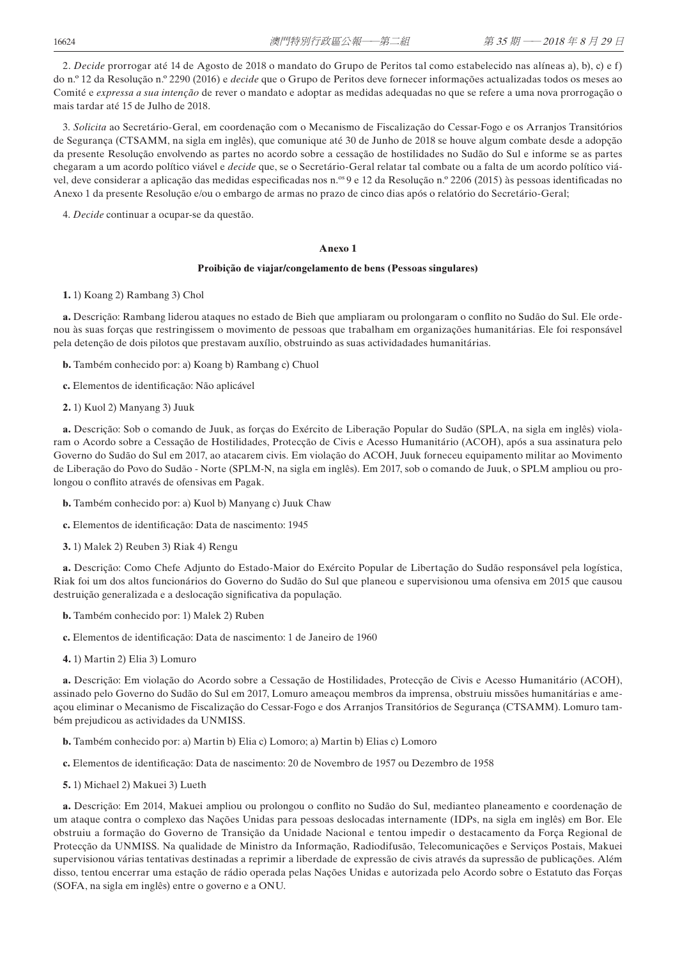2. *Decide* prorrogar até 14 de Agosto de 2018 o mandato do Grupo de Peritos tal como estabelecido nas alíneas a), b), c) e f) do n.º 12 da Resolução n.º 2290 (2016) e *decide* que o Grupo de Peritos deve fornecer informações actualizadas todos os meses ao Comité e *expressa a sua intenção* de rever o mandato e adoptar as medidas adequadas no que se refere a uma nova prorrogação o mais tardar até 15 de Julho de 2018.

3. *Solicita* ao Secretário-Geral, em coordenação com o Mecanismo de Fiscalização do Cessar-Fogo e os Arranjos Transitórios de Segurança (CTSAMM, na sigla em inglês), que comunique até 30 de Junho de 2018 se houve algum combate desde a adopção da presente Resolução envolvendo as partes no acordo sobre a cessação de hostilidades no Sudão do Sul e informe se as partes chegaram a um acordo político viável e *decide* que, se o Secretário-Geral relatar tal combate ou a falta de um acordo político viável, deve considerar a aplicação das medidas especificadas nos n.<sup>os</sup> 9 e 12 da Resolução n.º 2206 (2015) às pessoas identificadas no Anexo 1 da presente Resolução e/ou o embargo de armas no prazo de cinco dias após o relatório do Secretário-Geral;

4. *Decide* continuar a ocupar-se da questão.

#### **Anexo 1**

#### **Proibição de viajar/congelamento de bens (Pessoas singulares)**

#### **1.** 1) Koang 2) Rambang 3) Chol

**a.** Descrição: Rambang liderou ataques no estado de Bieh que ampliaram ou prolongaram o conflito no Sudão do Sul. Ele ordenou às suas forças que restringissem o movimento de pessoas que trabalham em organizações humanitárias. Ele foi responsável pela detenção de dois pilotos que prestavam auxílio, obstruindo as suas actividadades humanitárias.

**b.** Também conhecido por: a) Koang b) Rambang c) Chuol

- **c.** Elementos de identificação: Não aplicável
- **2.** 1) Kuol 2) Manyang 3) Juuk

**a.** Descrição: Sob o comando de Juuk, as forças do Exército de Liberação Popular do Sudão (SPLA, na sigla em inglês) violaram o Acordo sobre a Cessação de Hostilidades, Protecção de Civis e Acesso Humanitário (ACOH), após a sua assinatura pelo Governo do Sudão do Sul em 2017, ao atacarem civis. Em violação do ACOH, Juuk forneceu equipamento militar ao Movimento de Liberação do Povo do Sudão - Norte (SPLM-N, na sigla em inglês). Em 2017, sob o comando de Juuk, o SPLM ampliou ou prolongou o conflito através de ofensivas em Pagak.

- **b.** Também conhecido por: a) Kuol b) Manyang c) Juuk Chaw
- **c.** Elementos de identificação: Data de nascimento: 1945
- **3.** 1) Malek 2) Reuben 3) Riak 4) Rengu

**a.** Descrição: Como Chefe Adjunto do Estado-Maior do Exército Popular de Libertação do Sudão responsável pela logística, Riak foi um dos altos funcionários do Governo do Sudão do Sul que planeou e supervisionou uma ofensiva em 2015 que causou destruição generalizada e a deslocação significativa da população.

- **b.** Também conhecido por: 1) Malek 2) Ruben
- **c.** Elementos de identificação: Data de nascimento: 1 de Janeiro de 1960
- **4.** 1) Martin 2) Elia 3) Lomuro

**a.** Descrição: Em violação do Acordo sobre a Cessação de Hostilidades, Protecção de Civis e Acesso Humanitário (ACOH), assinado pelo Governo do Sudão do Sul em 2017, Lomuro ameaçou membros da imprensa, obstruiu missões humanitárias e ameaçou eliminar o Mecanismo de Fiscalização do Cessar-Fogo e dos Arranjos Transitórios de Segurança (CTSAMM). Lomuro também prejudicou as actividades da UNMISS.

- **b.** Também conhecido por: a) Martin b) Elia c) Lomoro; a) Martin b) Elias c) Lomoro
- **c.** Elementos de identificação: Data de nascimento: 20 de Novembro de 1957 ou Dezembro de 1958
- **5.** 1) Michael 2) Makuei 3) Lueth

**a.** Descrição: Em 2014, Makuei ampliou ou prolongou o conflito no Sudão do Sul, medianteo planeamento e coordenação de um ataque contra o complexo das Nações Unidas para pessoas deslocadas internamente (IDPs, na sigla em inglês) em Bor. Ele obstruiu a formação do Governo de Transição da Unidade Nacional e tentou impedir o destacamento da Força Regional de Protecção da UNMISS. Na qualidade de Ministro da Informação, Radiodifusão, Telecomunicações e Serviços Postais, Makuei supervisionou várias tentativas destinadas a reprimir a liberdade de expressão de civis através da supressão de publicações. Além disso, tentou encerrar uma estação de rádio operada pelas Nações Unidas e autorizada pelo Acordo sobre o Estatuto das Forças (SOFA, na sigla em inglês) entre o governo e a ONU.